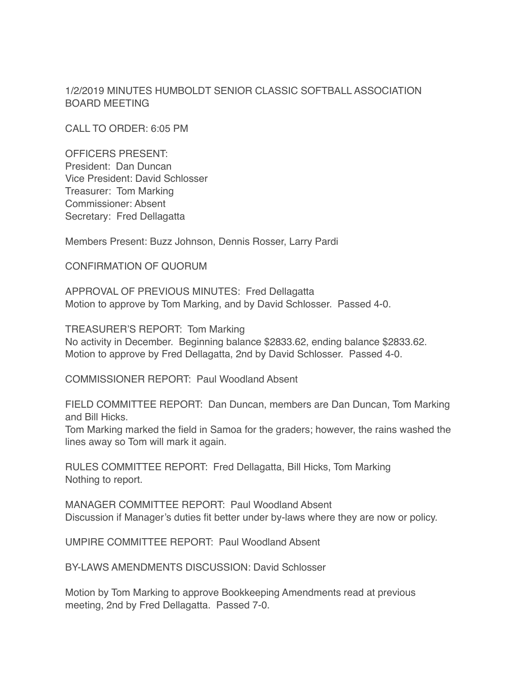1/2/2019 MINUTES HUMBOLDT SENIOR CLASSIC SOFTBALL ASSOCIATION BOARD MEETING

CALL TO ORDER: 6:05 PM

OFFICERS PRESENT: President: Dan Duncan Vice President: David Schlosser Treasurer: Tom Marking Commissioner: Absent Secretary: Fred Dellagatta

Members Present: Buzz Johnson, Dennis Rosser, Larry Pardi

CONFIRMATION OF QUORUM

APPROVAL OF PREVIOUS MINUTES: Fred Dellagatta Motion to approve by Tom Marking, and by David Schlosser. Passed 4-0.

TREASURER'S REPORT: Tom Marking No activity in December. Beginning balance \$2833.62, ending balance \$2833.62. Motion to approve by Fred Dellagatta, 2nd by David Schlosser. Passed 4-0.

COMMISSIONER REPORT: Paul Woodland Absent

FIELD COMMITTEE REPORT: Dan Duncan, members are Dan Duncan, Tom Marking and Bill Hicks.

Tom Marking marked the field in Samoa for the graders; however, the rains washed the lines away so Tom will mark it again.

RULES COMMITTEE REPORT: Fred Dellagatta, Bill Hicks, Tom Marking Nothing to report.

MANAGER COMMITTEE REPORT: Paul Woodland Absent Discussion if Manager's duties fit better under by-laws where they are now or policy.

UMPIRE COMMITTEE REPORT: Paul Woodland Absent

BY-LAWS AMENDMENTS DISCUSSION: David Schlosser

Motion by Tom Marking to approve Bookkeeping Amendments read at previous meeting, 2nd by Fred Dellagatta. Passed 7-0.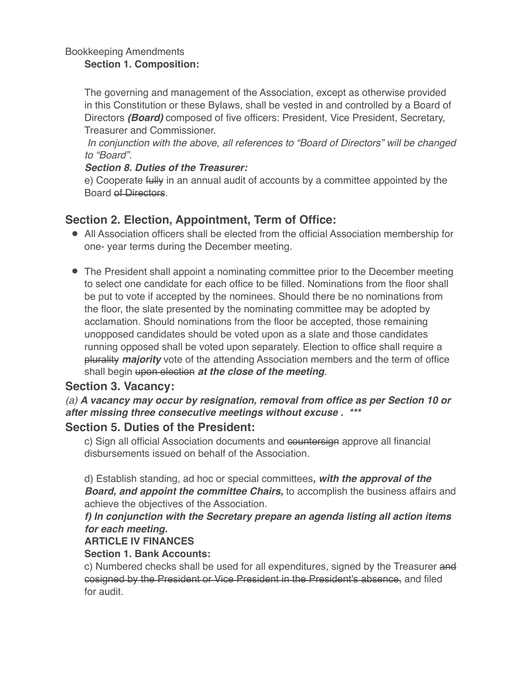#### Bookkeeping Amendments **Section 1. Composition:**

The governing and management of the Association, except as otherwise provided in this Constitution or these Bylaws, shall be vested in and controlled by a Board of Directors *(Board)* composed of five officers: President, Vice President, Secretary, Treasurer and Commissioner.

*In conjunction with the above, all references to "Board of Directors" will be changed to "Board".*

### *Section 8. Duties of the Treasurer:*

e) Cooperate fully in an annual audit of accounts by a committee appointed by the Board of Directors.

# **Section 2. Election, Appointment, Term of Office:**

- All Association officers shall be elected from the official Association membership for one- year terms during the December meeting.
- The President shall appoint a nominating committee prior to the December meeting to select one candidate for each office to be filled. Nominations from the floor shall be put to vote if accepted by the nominees. Should there be no nominations from the floor, the slate presented by the nominating committee may be adopted by acclamation. Should nominations from the floor be accepted, those remaining unopposed candidates should be voted upon as a slate and those candidates running opposed shall be voted upon separately. Election to office shall require a plurality *majority* vote of the attending Association members and the term of office shall begin upon election *at the close of the meeting*.

# **Section 3. Vacancy:**

*(a) A vacancy may occur by resignation, removal from office as per Section 10 or after missing three consecutive meetings without excuse . \*\*\**

# **Section 5. Duties of the President:**

c) Sign all official Association documents and countersign approve all financial disbursements issued on behalf of the Association.

d) Establish standing, ad hoc or special committees*, with the approval of the Board, and appoint the committee Chairs,* to accomplish the business affairs and achieve the objectives of the Association.

## *f) In conjunction with the Secretary prepare an agenda listing all action items for each meeting.*

## **ARTICLE IV FINANCES**

### **Section 1. Bank Accounts:**

c) Numbered checks shall be used for all expenditures, signed by the Treasurer and cosigned by the President or Vice President in the President's absence, and filed for audit.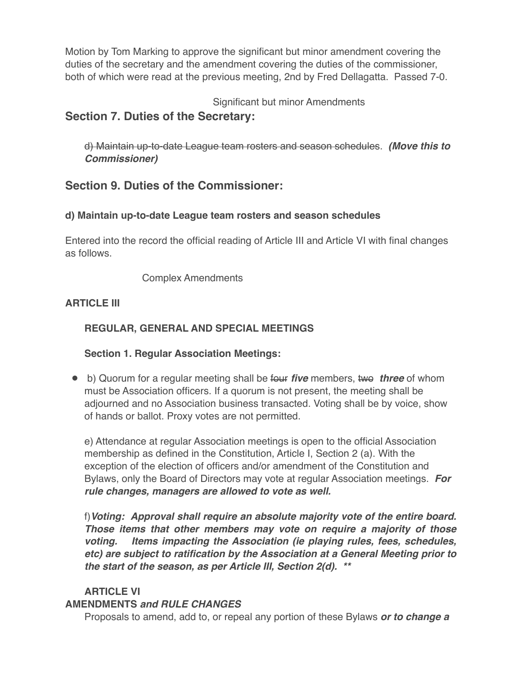Motion by Tom Marking to approve the significant but minor amendment covering the duties of the secretary and the amendment covering the duties of the commissioner, both of which were read at the previous meeting, 2nd by Fred Dellagatta. Passed 7-0.

Significant but minor Amendments

# **Section 7. Duties of the Secretary:**

d) Maintain up-to-date League team rosters and season schedules. *(Move this to Commissioner)*

# **Section 9. Duties of the Commissioner:**

### **d) Maintain up-to-date League team rosters and season schedules**

Entered into the record the official reading of Article III and Article VI with final changes as follows.

Complex Amendments

### **ARTICLE III**

## **REGULAR, GENERAL AND SPECIAL MEETINGS**

### **Section 1. Regular Association Meetings:**

● b) Quorum for a regular meeting shall be four *five* members, two *three* of whom must be Association officers. If a quorum is not present, the meeting shall be adjourned and no Association business transacted. Voting shall be by voice, show of hands or ballot. Proxy votes are not permitted.

e) Attendance at regular Association meetings is open to the official Association membership as defined in the Constitution, Article I, Section 2 (a). With the exception of the election of officers and/or amendment of the Constitution and Bylaws, only the Board of Directors may vote at regular Association meetings. *For rule changes, managers are allowed to vote as well.*

f)*Voting: Approval shall require an absolute majority vote of the entire board. Those items that other members may vote on require a majority of those voting. Items impacting the Association (ie playing rules, fees, schedules, etc) are subject to ratification by the Association at a General Meeting prior to the start of the season, as per Article III, Section 2(d). \*\**

### **ARTICLE VI**

#### **AMENDMENTS** *and RULE CHANGES*

Proposals to amend, add to, or repeal any portion of these Bylaws *or to change a*